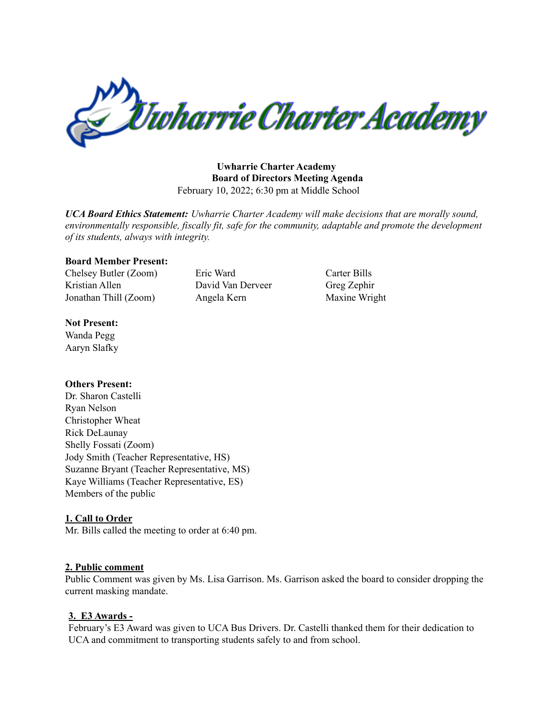

**Uwharrie Charter Academy Board of Directors Meeting Agenda** February 10, 2022; 6:30 pm at Middle School

*UCA Board Ethics Statement: Uwharrie Charter Academy will make decisions that are morally sound, environmentally responsible, fiscally fit, safe for the community, adaptable and promote the development of its students, always with integrity.*

#### **Board Member Present:**

Chelsey Butler (Zoom) Eric Ward Carter Bills Kristian Allen David Van Derveer Greg Zephir Jonathan Thill (Zoom) Angela Kern Maxine Wright

#### **Not Present:**

Wanda Pegg Aaryn Slafky

### **Others Present:**

Dr. Sharon Castelli Ryan Nelson Christopher Wheat Rick DeLaunay Shelly Fossati (Zoom) Jody Smith (Teacher Representative, HS) Suzanne Bryant (Teacher Representative, MS) Kaye Williams (Teacher Representative, ES) Members of the public

### **1. Call to Order**

Mr. Bills called the meeting to order at 6:40 pm.

### **2. Public comment**

Public Comment was given by Ms. Lisa Garrison. Ms. Garrison asked the board to consider dropping the current masking mandate.

### **3. E3 Awards -**

February's E3 Award was given to UCA Bus Drivers. Dr. Castelli thanked them for their dedication to UCA and commitment to transporting students safely to and from school.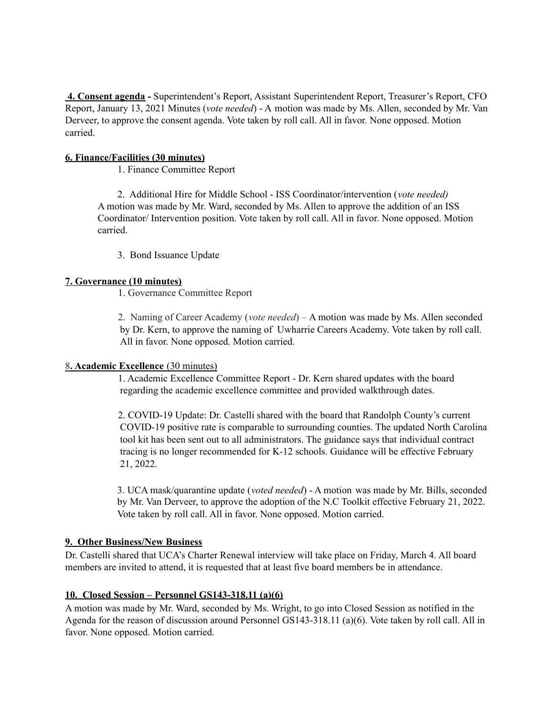**4. Consent agenda -** Superintendent's Report, Assistant Superintendent Report, Treasurer's Report, CFO Report, January 13, 2021 Minutes (*vote needed*) - A motion was made by Ms. Allen, seconded by Mr. Van Derveer, to approve the consent agenda. Vote taken by roll call. All in favor. None opposed. Motion carried.

## **6. Finance/Facilities (30 minutes)**

1. Finance Committee Report

2. Additional Hire for Middle School - ISS Coordinator/intervention (*vote needed)* A motion was made by Mr. Ward, seconded by Ms. Allen to approve the addition of an ISS Coordinator/ Intervention position. Vote taken by roll call. All in favor. None opposed. Motion carried.

3. Bond Issuance Update

# **7. Governance (10 minutes)**

1. Governance Committee Report

2. Naming of Career Academy (*vote needed*) – A motion was made by Ms. Allen seconded by Dr. Kern, to approve the naming of Uwharrie Careers Academy. Vote taken by roll call. All in favor. None opposed. Motion carried.

### 8**. Academic Excellence** (30 minutes)

1. Academic Excellence Committee Report - Dr. Kern shared updates with the board regarding the academic excellence committee and provided walkthrough dates.

2. COVID-19 Update: Dr. Castelli shared with the board that Randolph County's current COVID-19 positive rate is comparable to surrounding counties. The updated North Carolina tool kit has been sent out to all administrators. The guidance says that individual contract tracing is no longer recommended for K-12 schools. Guidance will be effective February 21, 2022.

3. UCA mask/quarantine update (*voted needed*) - A motion was made by Mr. Bills, seconded by Mr. Van Derveer, to approve the adoption of the N.C Toolkit effective February 21, 2022. Vote taken by roll call. All in favor. None opposed. Motion carried.

### **9. Other Business/New Business**

Dr. Castelli shared that UCA's Charter Renewal interview will take place on Friday, March 4. All board members are invited to attend, it is requested that at least five board members be in attendance.

# **10. Closed Session – Personnel GS143-318.11 (a)(6)**

A motion was made by Mr. Ward, seconded by Ms. Wright, to go into Closed Session as notified in the Agenda for the reason of discussion around Personnel GS143-318.11 (a)(6). Vote taken by roll call. All in favor. None opposed. Motion carried.